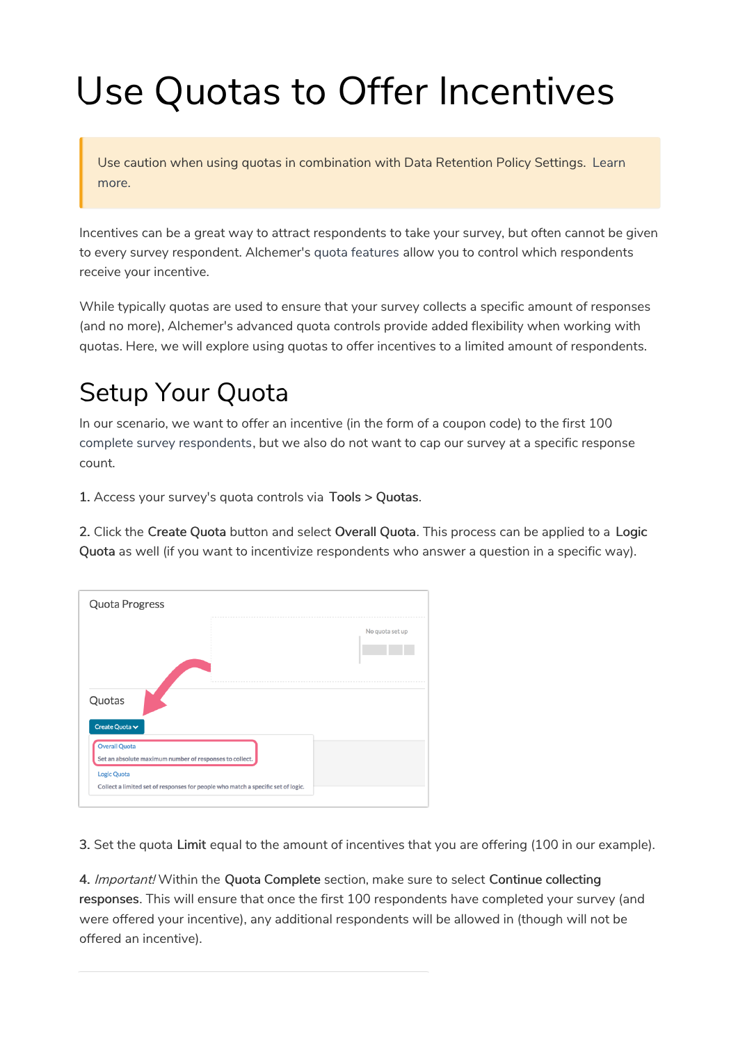## Use Quotas to Offer Incentives

Use caution when using quotas in combination with Data Retention Policy Settings. Learn more.

Incentives can be a great way to attract respondents to take your survey, but often cannot be given to every survey respondent. Alchemer's quota features allow you to control which respondents receive your incentive.

While typically quotas are used to ensure that your survey collects a specific amount of responses (and no more), Alchemer's advanced quota controls provide added flexibility when working with quotas. Here, we will explore using quotas to offer incentives to a limited amount of respondents.

## Setup Your Quota

In our scenario, we want to offer an incentive (in the form of a coupon code) to the first 100 complete survey respondents, but we also do not want to cap our survey at a specific response count.

1. Access your survey's quota controls via Tools > Quotas.

2. Click the Create Quota button and select Overall Quota. This process can be applied to a Logic Quota as well (if you want to incentivize respondents who answer a question in a specific way).

|                                                         | No quota set up |
|---------------------------------------------------------|-----------------|
|                                                         |                 |
|                                                         |                 |
| Quotas                                                  |                 |
| Create Quota v                                          |                 |
|                                                         |                 |
| <b>Overall Quota</b>                                    |                 |
| Set an absolute maximum number of responses to collect. |                 |
| <b>Logic Quota</b>                                      |                 |

3. Set the quota Limit equal to the amount of incentives that you are offering (100 in our example).

4. Important! Within the Quota Complete section, make sure to select Continue collecting responses. This will ensure that once the first 100 respondents have completed your survey (and were offered your incentive), any additional respondents will be allowed in (though will not be offered an incentive).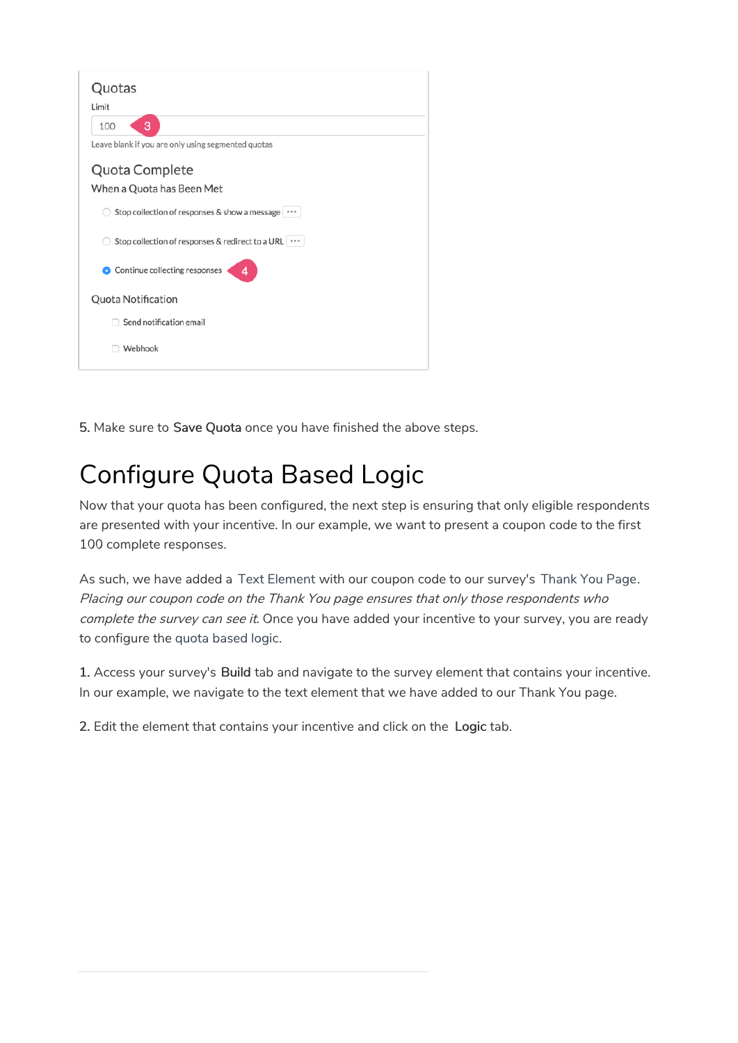| Quotas                                               |
|------------------------------------------------------|
| Limit                                                |
| 3<br>100                                             |
| Leave blank if you are only using segmented quotas   |
| Quota Complete                                       |
| When a Quota has Been Met                            |
| Stop collection of responses & show a message        |
| Stop collection of responses & redirect to a URL ••• |
| Continue collecting responses<br>Δ<br>4              |
| Quota Notification                                   |
| Send notification email                              |
| Webhook                                              |
|                                                      |

5. Make sure to Save Quota once you have finished the above steps.

## Configure Quota Based Logic

Now that your quota has been configured, the next step is ensuring that only eligible respondents are presented with your incentive. In our example, we want to present a coupon code to the first 100 complete responses.

As such, we have added a Text Element with our coupon code to our survey's Thank You Page. Placing our coupon code on the Thank You page ensures that only those respondents who complete the survey can see it. Once you have added your incentive to your survey, you are ready to configure the quota based logic.

1. Access your survey's Build tab and navigate to the survey element that contains your incentive. In our example, we navigate to the text element that we have added to our Thank You page.

2. Edit the element that contains your incentive and click on the Logic tab.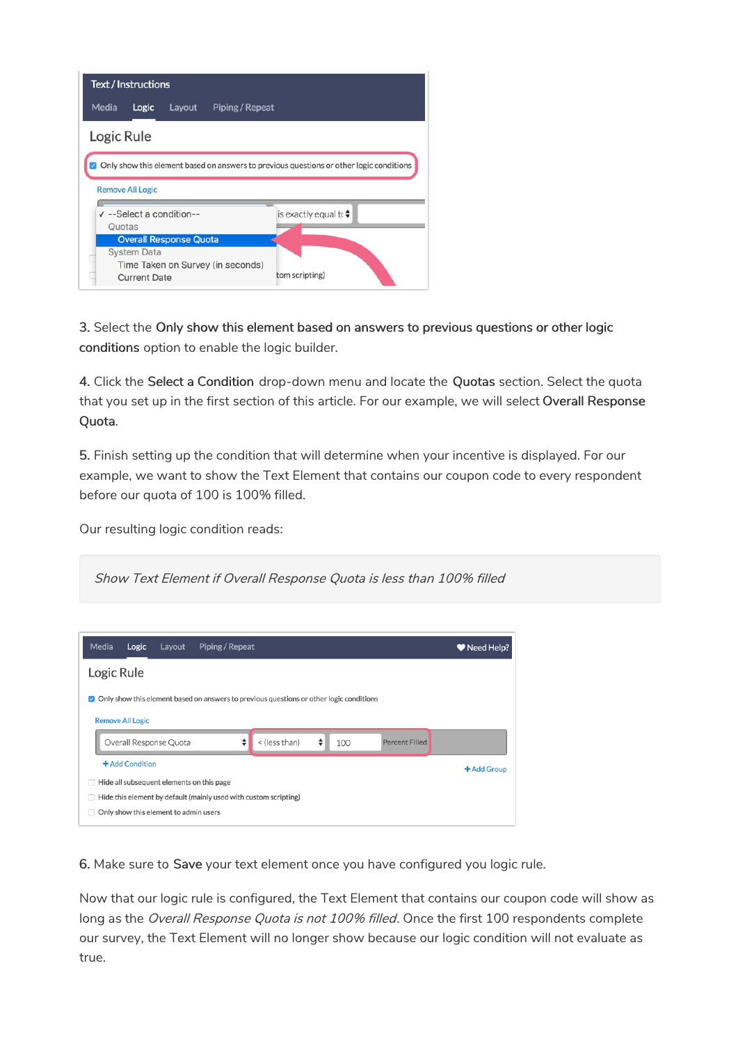| <b>Text / Instructions</b>                                                              |                                           |        |                                   |                |  |  |  |
|-----------------------------------------------------------------------------------------|-------------------------------------------|--------|-----------------------------------|----------------|--|--|--|
| Media                                                                                   | Logic                                     | Layout | Piping / Repeat                   |                |  |  |  |
|                                                                                         | Logic Rule                                |        |                                   |                |  |  |  |
| Only show this element based on answers to previous questions or other logic conditions |                                           |        |                                   |                |  |  |  |
| <b>Remove All Logic</b>                                                                 |                                           |        |                                   |                |  |  |  |
| $\checkmark$ --Select a condition--                                                     |                                           |        | is exactly equal to $\div$        |                |  |  |  |
|                                                                                         | Quotas                                    |        |                                   |                |  |  |  |
|                                                                                         | <b>Overall Response Quota</b>             |        |                                   |                |  |  |  |
|                                                                                         | <b>System Data</b><br><b>Current Date</b> |        | Time Taken on Survey (in seconds) | tom scripting) |  |  |  |

3. Select the Only show this element based on answers to previous questions or other logic conditions option to enable the logic builder.

4. Click the Select a Condition drop-down menu and locate the Quotas section. Select the quota that you set up in the first section of this article. For our example, we will select Overall Response Quota.

5. Finish setting up the condition that will determine when your incentive is displayed. For our example, we want to show the Text Element that contains our coupon code to every respondent before our quota of 100 is 100% filled.

Our resulting logic condition reads:

| Show Text Element if Overall Response Quota is less than 100% filled                                                                |            |  |  |  |  |  |
|-------------------------------------------------------------------------------------------------------------------------------------|------------|--|--|--|--|--|
| Media<br>Piping / Repeat<br>Logic<br>Layout                                                                                         | Weed Help? |  |  |  |  |  |
| Logic Rule                                                                                                                          |            |  |  |  |  |  |
| Only show this element based on answers to previous questions or other logic conditions<br>$\mathcal{L}$<br><b>Remove All Logic</b> |            |  |  |  |  |  |
| ÷<br>٠<br>< (less than)<br>Overall Response Quota<br>100<br><b>Percent Filled</b>                                                   |            |  |  |  |  |  |
| + Add Condition<br>+ Add Group<br>Hide all subsequent elements on this page<br>$\Box$                                               |            |  |  |  |  |  |
| Hide this element by default (mainly used with custom scripting)<br>n<br>Only show this element to admin users                      |            |  |  |  |  |  |

6. Make sure to Save your text element once you have configured you logic rule.

Now that our logic rule is configured, the Text Element that contains our coupon code will show as long as the Overall Response Quota is not 100% filled. Once the first 100 respondents complete our survey, the Text Element will no longer show because our logic condition will not evaluate as true.